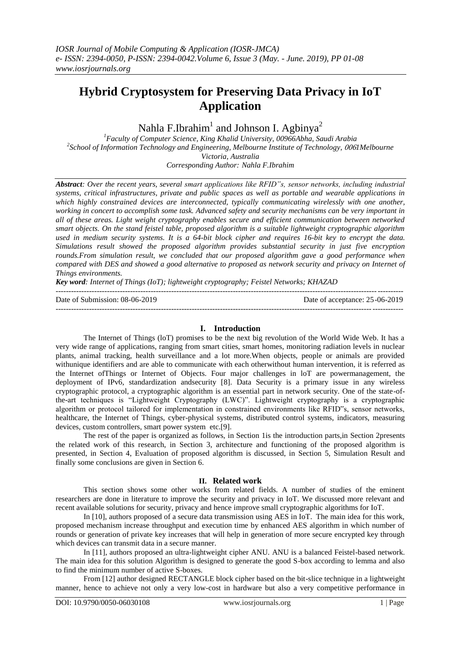# **Hybrid Cryptosystem for Preserving Data Privacy in IoT Application**

Nahla F.Ibrahim $^{\rm l}$  and Johnson I. Agbinya $^{\rm 2}$ 

*<sup>1</sup>Faculty of Computer Science, King Khalid University, 00966Abha, Saudi Arabia* <sup>2</sup> School of Information Technology and Engineering, Melbourne Institute of Technology, 0061 Melbourne *Victoria, Australia Corresponding Author: Nahla F.Ibrahim*

*Abstract: Over the recent years, several smart applications like RFID"s, sensor networks, including industrial systems, critical infrastructures, private and public spaces as well as portable and wearable applications in which highly constrained devices are interconnected, typically communicating wirelessly with one another, working in concert to accomplish some task. Advanced safety and security mechanisms can be very important in all of these areas. Light weight cryptography enables secure and efficient communication between networked smart objects. On the stand feistel table, proposed algorithm is a suitable lightweight cryptographic algorithm used in medium security systems. It is a 64-bit block cipher and requires 16-bit key to encrypt the data. Simulations result showed the proposed algorithm provides substantial security in just five encryption rounds.From simulation result, we concluded that our proposed algorithm gave a good performance when compared with DES and showed a good alternative to proposed as network security and privacy on Internet of Things environments.*

*Key word: Internet of Things (IoT); lightweight cryptography; Feistel Networks; KHAZAD*

--------------------------------------------------------------------------------------------------------------------------------------- Date of Submission: 08-06-2019 Date of acceptance: 25-06-2019 ---------------------------------------------------------------------------------------------------------------------------------------

## **I. Introduction**

The Internet of Things (loT) promises to be the next big revolution of the World Wide Web. It has a very wide range of applications, ranging from smart cities, smart homes, monitoring radiation levels in nuclear plants, animal tracking, health surveillance and a lot more.When objects, people or animals are provided withunique identifiers and are able to communicate with each otherwithout human intervention, it is referred as the Internet ofThings or Internet of Objects. Four major challenges in loT are powermanagement, the deployment of IPv6, standardization andsecurity [8]. Data Security is a primary issue in any wireless cryptographic protocol, a cryptographic algorithm is an essential part in network security. One of the state-ofthe-art techniques is "Lightweight Cryptography (LWC)". Lightweight cryptography is a cryptographic algorithm or protocol tailored for implementation in constrained environments like RFID"s, sensor networks, healthcare, the Internet of Things, cyber-physical systems, distributed control systems, indicators, measuring devices, custom controllers, smart power system etc.[9].

The rest of the paper is organized as follows, in Section 1is the introduction parts,in Section 2presents the related work of this research, in Section 3, architecture and functioning of the proposed algorithm is presented, in Section 4, Evaluation of proposed algorithm is discussed, in Section 5, Simulation Result and finally some conclusions are given in Section 6.

## **II. Related work**

This section shows some other works from related fields. A number of studies of the eminent researchers are done in literature to improve the security and privacy in IoT. We discussed more relevant and recent available solutions for security, privacy and hence improve small cryptographic algorithms for IoT.

In [10], authors proposed of a secure data transmission using AES in IoT. The main idea for this work, proposed mechanism increase throughput and execution time by enhanced AES algorithm in which number of rounds or generation of private key increases that will help in generation of more secure encrypted key through which devices can transmit data in a secure manner.

In [11], authors proposed an ultra-lightweight cipher ANU. ANU is a balanced Feistel-based network. The main idea for this solution Algorithm is designed to generate the good S-box according to lemma and also to find the minimum number of active S-boxes.

From [12] author designed RECTANGLE block cipher based on the bit-slice technique in a lightweight manner, hence to achieve not only a very low-cost in hardware but also a very competitive performance in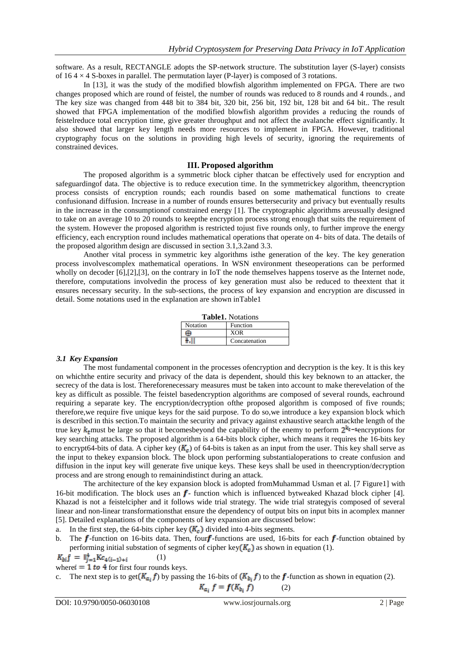software. As a result, RECTANGLE adopts the SP-network structure. The substitution layer (S-layer) consists of 16 4  $\times$  4 S-boxes in parallel. The permutation layer (P-layer) is composed of 3 rotations.

In [13], it was the study of the modified blowfish algorithm implemented on FPGA. There are two changes proposed which are round of feistel, the number of rounds was reduced to 8 rounds and 4 rounds., and The key size was changed from 448 bit to 384 bit, 320 bit, 256 bit, 192 bit, 128 bit and 64 bit.. The result showed that FPGA implementation of the modified blowfish algorithm provides a reducing the rounds of feistelreduce total encryption time, give greater throughput and not affect the avalanche effect significantly. It also showed that larger key length needs more resources to implement in FPGA. However, traditional cryptography focus on the solutions in providing high levels of security, ignoring the requirements of constrained devices.

## **III. Proposed algorithm**

The proposed algorithm is a symmetric block cipher thatcan be effectively used for encryption and safeguardingof data. The objective is to reduce execution time. In the symmetrickey algorithm, theencryption process consists of encryption rounds; each roundis based on some mathematical functions to create confusionand diffusion. Increase in a number of rounds ensures bettersecurity and privacy but eventually results in the increase in the consumptionof constrained energy [1]. The cryptographic algorithms areusually designed to take on an average 10 to 20 rounds to keepthe encryption process strong enough that suits the requirement of the system. However the proposed algorithm is restricted tojust five rounds only, to further improve the energy efficiency, each encryption round includes mathematical operations that operate on 4- bits of data. The details of the proposed algorithm design are discussed in section 3.1,3.2and 3.3.

Another vital process in symmetric key algorithms isthe generation of the key. The key generation process involvescomplex mathematical operations. In WSN environment theseoperations can be performed wholly on decoder [6],[2],[3], on the contrary in IoT the node themselves happens toserve as the Internet node, therefore, computations involvedin the process of key generation must also be reduced to theextent that it ensures necessary security. In the sub-sections, the process of key expansion and encryption are discussed in detail. Some notations used in the explanation are shown inTable1

| <b>Table1.</b> Notations |               |  |  |  |  |
|--------------------------|---------------|--|--|--|--|
| Notation                 | Function      |  |  |  |  |
|                          | <b>XOR</b>    |  |  |  |  |
|                          | Concatenation |  |  |  |  |

## *3.1 Key Expansion*

The most fundamental component in the processes ofencryption and decryption is the key. It is this key on whichthe entire security and privacy of the data is dependent, should this key beknown to an attacker, the secrecy of the data is lost. Thereforenecessary measures must be taken into account to make therevelation of the key as difficult as possible. The feistel basedencryption algorithms are composed of several rounds, eachround requiring a separate key. The encryption/decryption ofthe proposed algorithm is composed of five rounds; therefore,we require five unique keys for the said purpose. To do so,we introduce a key expansion block which is described in this section.To maintain the security and privacy against exhaustive search attackthe length of the true key  $k_t$  must be large so that it becomes beyond the capability of the enemy to perform  $2^{k_t}$ -tencryptions for key searching attacks. The proposed algorithm is a 64-bits block cipher, which means it requires the 16-bits key to encrypt64-bits of data. A cipher key ( $K_c$ ) of 64-bits is taken as an input from the user. This key shall serve as the input to thekey expansion block. The block upon performing substantialoperations to create confusion and diffusion in the input key will generate five unique keys. These keys shall be used in theencryption/decryption process and are strong enough to remainindistinct during an attack.

The architecture of the key expansion block is adopted fromMuhammad Usman et al. [7 Figure1] with 16-bit modification. The block uses an  $f$ - function which is influenced bytweaked Khazad block cipher [4]. Khazad is not a feistelcipher and it follows wide trial strategy. The wide trial strategyis composed of several linear and non-linear transformationsthat ensure the dependency of output bits on input bits in acomplex manner [5]. Detailed explanations of the components of key expansion are discussed below:

- a. In the first step, the 64-bits cipher key  $(K_c)$  divided into 4-bits segments.
- b. The  $f$ -function on 16-bits data. Then, four  $f$ -functions are used, 16-bits for each  $f$ -function obtained by performing initial substation of segments of cipher key  $(K_c)$  as shown in equation (1).

$$
K_{bi}f = \mathbb{I}_{j=1}^{4} K c_{4(i-1)+i} \tag{1}
$$

where  $i = 1$  to 4 for first four rounds keys.

c. The next step is to get  $(K_{a_i} f)$  by passing the 16-bits of  $(K_{b_i} f)$  to the **f**-function as shown in equation (2).

$$
K_{a_i} f = f(K_{b_i} f) \tag{2}
$$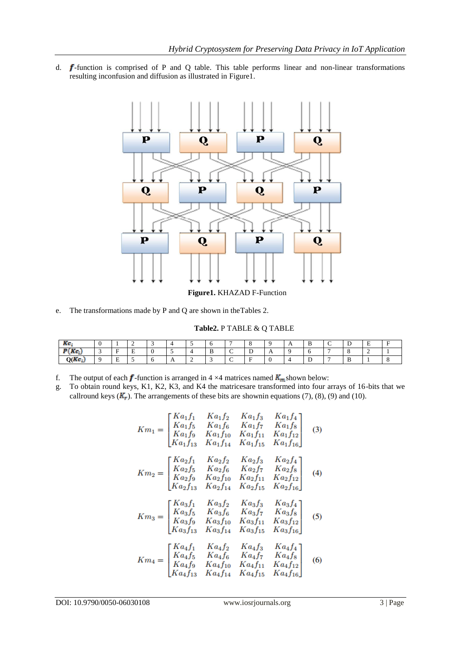d.  $f$ -function is comprised of P and Q table. This table performs linear and non-linear transformations resulting inconfusion and diffusion as illustrated in Figure1.



**Figure1.** KHAZAD F-Function

e. The transformations made by P and Q are shown in theTables 2.

**Table2.** P TABLE & Q TABLE

| $\mathbf{r}$<br>n c |                         | ∼                             |   |              |               |              | - |                          |                | $\boldsymbol{A}$ | –<br>D      | ∼<br>. .       | –<br>┚ | $\blacksquare$<br>. н<br>- | Е |
|---------------------|-------------------------|-------------------------------|---|--------------|---------------|--------------|---|--------------------------|----------------|------------------|-------------|----------------|--------|----------------------------|---|
| (Kc)<br>p<br>- 22   | <br>$\mathbf{r}$        | $\blacksquare$<br>н<br>∸<br>- | v | ◡            |               | $\mathbf{r}$ | r | ໋                        | $\overline{1}$ |                  |             | $\overline{ }$ | . .    | ∽<br>-                     |   |
| O(Kc)               | $\sim$<br>н<br><b>.</b> |                               | ◡ | $\mathbf{A}$ | -<br><b>_</b> |              | ∽ | $\overline{\phantom{a}}$ |                |                  | $\sim$<br>◡ | $\overline{ }$ | –<br>┚ |                            |   |

- f. The output of each **f**-function is arranged in  $4 \times 4$  matrices named  $K_m$  shown below:
- g. To obtain round keys, K1, K2, K3, and K4 the matricesare transformed into four arrays of 16-bits that we callround keys  $(K_r)$ . The arrangements of these bits are shown n equations (7), (8), (9) and (10).

$$
Km_{1} = \begin{bmatrix} Ka_{1}f_{1} & Ka_{1}f_{2} & Ka_{1}f_{3} & Ka_{1}f_{4} \\ Ka_{1}f_{5} & Ka_{1}f_{6} & Ka_{1}f_{7} & Ka_{1}f_{8} \\ Ka_{1}f_{9} & Ka_{1}f_{10} & Ka_{1}f_{11} & Ka_{1}f_{12} \\ Ka_{1}f_{13} & Ka_{1}f_{14} & Ka_{1}f_{15} & Ka_{1}f_{16} \end{bmatrix}
$$
(3)  
\n
$$
Km_{2} = \begin{bmatrix} Ka_{2}f_{1} & Ka_{2}f_{2} & Ka_{2}f_{3} & Ka_{2}f_{4} \\ Ka_{2}f_{5} & Ka_{2}f_{6} & Ka_{2}f_{7} & Ka_{2}f_{8} \\ Ka_{2}f_{9} & Ka_{2}f_{10} & Ka_{2}f_{11} & Ka_{2}f_{12} \\ Ka_{2}f_{13} & Ka_{2}f_{14} & Ka_{2}f_{15} & Ka_{3}f_{4} \\ Ka_{3}f_{5} & Ka_{3}f_{6} & Ka_{3}f_{7} & Ka_{3}f_{8} \\ Ka_{3}f_{9} & Ka_{3}f_{10} & Ka_{3}f_{11} & Ka_{3}f_{12} \\ Ka_{3}f_{13} & Ka_{3}f_{14} & Ka_{3}f_{15} & Ka_{3}f_{16} \end{bmatrix}
$$
(5)  
\n
$$
Km_{4} = \begin{bmatrix} Ka_{4}f_{1} & Ka_{4}f_{2} & Ka_{4}f_{3} & Ka_{4}f_{4} \\ Ka_{4}f_{5} & Ka_{4}f_{6} & Ka_{4}f_{7} & Ka_{4}f_{8} \\ Ka_{4}f_{5} & Ka_{4}f_{6} & Ka_{4}f_{7} & Ka_{4}f_{8} \\ Ka_{4}f_{8} & Ka_{4}f_{10} & Ka_{4}f_{11} & Ka_{4}f_{12} \\ Ka_{4}f_{13} & Ka_{4}f_{14} & Ka_{4}f_{15} & Ka_{4}f_{16} \end{bmatrix}
$$
(6)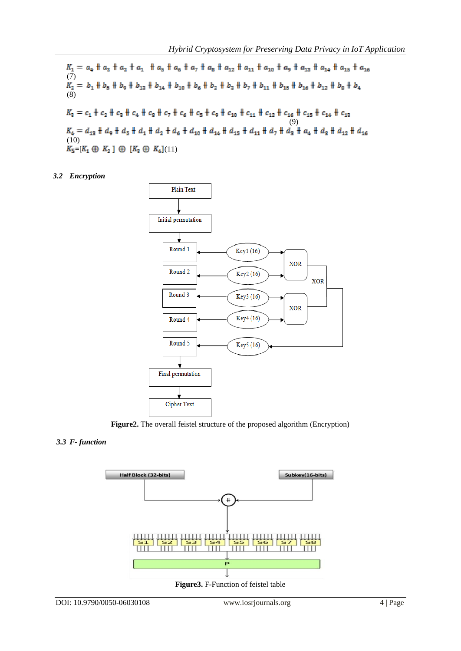(7) (8) (9) (10)  $K_5 = [K_1 \oplus K_2] \oplus [K_3 \oplus K_4]$ (11)

# *3.2 Encryption*



**Figure2.** The overall feistel structure of the proposed algorithm (Encryption)

# *3.3 F- function*

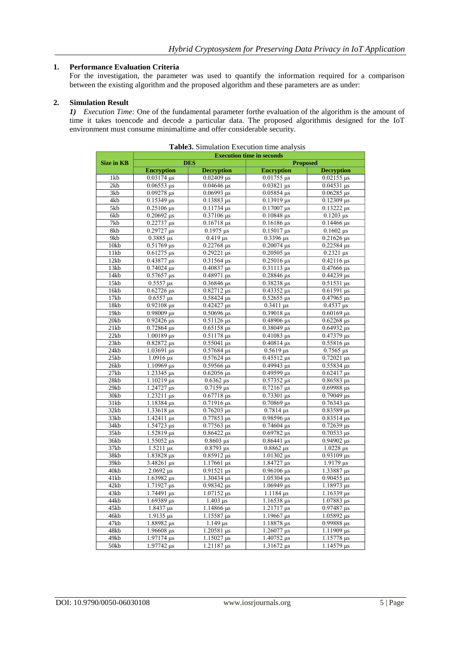## **1. Performance Evaluation Criteria**

For the investigation, the parameter was used to quantify the information required for a comparison between the existing algorithm and the proposed algorithm and these parameters are as under:

## **2. Simulation Result**

*1) Execution Time:* One of the fundamental parameter forthe evaluation of the algorithm is the amount of time it takes toencode and decode a particular data. The proposed algorithmis designed for the IoT environment must consume minimaltime and offer considerable security.

|                    | <b>Execution time in seconds</b> |                              |                        |                    |  |  |  |  |  |
|--------------------|----------------------------------|------------------------------|------------------------|--------------------|--|--|--|--|--|
| Size in KB         |                                  | <b>DES</b>                   | <b>Proposed</b>        |                    |  |  |  |  |  |
|                    | <b>Encryption</b>                | <b>Decryption</b>            | <b>Encryption</b>      | <b>Decryption</b>  |  |  |  |  |  |
| 1kb                | $0.03174 \text{ }\mu\text{s}$    | $0.02409 \,\mu s$            | $0.01755 \,\mu s$      | $0.02155 \,\mu s$  |  |  |  |  |  |
| 2kb                | $0.06553$ us                     | $0.04646 \,\mu s$            | $0.03821$ us           | $0.04531$ us       |  |  |  |  |  |
| 3kb                | $0.09278 \,\mu s$                | $0.06993 \,\mu s$            | $0.05854 \,\mu s$      | $0.06285 \,\mu s$  |  |  |  |  |  |
| 4kb                | $0.15349 \,\mu s$                | $0.13883 \,\mu s$            | $0.13919 \,\mu s$      | $0.12309 \,\mu s$  |  |  |  |  |  |
| 5kb                | $\overline{0.25106}$ µs          | $0.11734 \,\mu s$            | $0.17007$ us           | $0.13222$ us       |  |  |  |  |  |
| 6kb                | $0.20692 \,\mu s$                | $\overline{0.371}06 \,\mu s$ | $0.10848 \,\mu s$      | $0.1203 \,\mu s$   |  |  |  |  |  |
| 7kb                | $0.22737 \,\mu s$                | $0.16718 \,\mu s$            | $0.16186$ us           | $0.14466 \,\mu s$  |  |  |  |  |  |
| 8kb                | $\overline{0.29727}$ µs          | $0.1975 \,\mu s$             | $0.15017 \,\mu s$      | $0.1602 \,\mu s$   |  |  |  |  |  |
| 9kb                | $0.3885 \,\mu s$                 | $0.419 \,\mu s$              | $0.3396 \,\mu s$       | $0.21626 \,\mu s$  |  |  |  |  |  |
| 10kb               | $0.51769 \,\mu s$                | $0.22768 \,\mu s$            | $0.20074 \,\mu s$      | $0.22584 \,\mu s$  |  |  |  |  |  |
| 11kb               | $\sqrt{0.61275}$ µs              | $0.29221$ us                 | $0.20505$ us           | $0.2321 \,\mu s$   |  |  |  |  |  |
| 12kb               | $0.43877 \,\mu s$                | $0.31564 \,\mu s$            | $0.25016 \,\mu s$      | $0.42116 \,\mu s$  |  |  |  |  |  |
| 13kb               | $0.74024 \,\mu s$                | $0.40837 \,\mu s$            | $0.31113 \,\mu s$      | $0.47666 \,\mu s$  |  |  |  |  |  |
| 14kb               | $\sqrt{0.57657}$ µs              | $\sqrt{0.48971}$ µs          | $0.28846 \,\mu s$      | $0.44239 \,\mu s$  |  |  |  |  |  |
| 15kb               | $0.5557 \,\mu s$                 | $0.36846 \,\mu s$            | $0.38238 \,\mu s$      | $0.51531$ us       |  |  |  |  |  |
| 16kb               | $0.62726 \,\mu s$                | $\sqrt{0.82712}$ µs          | $0.43352 \,\mu s$      | $0.61591 \,\mu s$  |  |  |  |  |  |
| 17kb               | $0.6557 \,\mu s$                 | $0.58424 \,\mu s$            | $0.52655 \,\mu s$      | $0.47965 \,\mu s$  |  |  |  |  |  |
| 18kb               | $0.92108 \text{ }\mu\text{s}$    | $\sqrt{0.42427}$ µs          | $\overline{0.3411}$ µs | $0.4537 \,\mu s$   |  |  |  |  |  |
| 19kb               | $\sqrt{0.98009}$ µs              | $0.50696 \,\mu s$            | $0.39018$ us           | $0.60169$ µs       |  |  |  |  |  |
| 20kb               | $0.92426 \,\mu s$                | $0.51126$ us                 | $0.48906$ µs           | $0.62268$ us       |  |  |  |  |  |
| 21kb               | $0.72864 \,\mu s$                | $0.65158 \,\mu s$            | $0.38049 \,\mu s$      | $0.64932 \,\mu s$  |  |  |  |  |  |
| 22kb               | $1.00189 \,\mu s$                | $0.51178 \,\mu s$            | $\sqrt{0.41083}$ µs    | $0.47379$ us       |  |  |  |  |  |
| 23kb               | $0.82872 \,\mu s$                | $0.55041 \,\mu s$            | $0.40814 \,\mu s$      | $0.55816 \,\mu s$  |  |  |  |  |  |
| 24kb               | $1.03691 \,\mu s$                | $0.57684$ us                 | $0.5619$ us            | $\sqrt{0.7565}$ µs |  |  |  |  |  |
| $\overline{2}$ 5kb | $1.0916 \,\mu s$                 | $0.57624 \,\mu s$            | $0.45512 \,\mu s$      | $0.72021 \,\mu s$  |  |  |  |  |  |
| 26kb               | $\frac{1.10969}{\mu s}$          | $0.59566 \,\mu s$            | $0.49943$ us           | $0.55834 \,\mu s$  |  |  |  |  |  |
| 27kb               | 1.23345 us                       | $0.62056$ us                 | $0.49599$ us           | $0.62417$ us       |  |  |  |  |  |
| 28kb               | $1.10219 \,\mu s$                | $0.6362 \,\mu s$             | $0.57352 \,\mu s$      | $0.86583 \,\mu s$  |  |  |  |  |  |
| 29kb               | $1.24727 \,\mu s$                | $0.7159$ us                  | $0.72167 \,\mu s$      | $0.69988$ us       |  |  |  |  |  |
| 30kb               | $1.23211 \,\mu s$                | $0.67718 \,\mu s$            | $0.73301 \,\mu s$      | $0.79049 \,\mu s$  |  |  |  |  |  |
| 31kb               | 1.18384 us                       | $\frac{0.71916}{\mu s}$      | $0.70869$ µs           | $0.76343 \,\mu s$  |  |  |  |  |  |
| 32kb               | $1.33618 \,\mu s$                | $0.76203 \,\mu s$            | $0.7814$ us            | $0.83589$ us       |  |  |  |  |  |
| 33kb               | 1.42411 us                       | $0.77853 \,\mu s$            | 0.98596 us             | $0.83514$ us       |  |  |  |  |  |
| 34kb               | $1.54723 \,\mu s$                | $0.77563 \,\mu s$            | $0.74604$ µs           | $0.72639 \,\mu s$  |  |  |  |  |  |
| 35kb               | $1.52819 \,\mu s$                | $0.86422 \,\mu s$            | $0.69782 \,\mu s$      | $0.70533 \,\mu s$  |  |  |  |  |  |
| 36kb               | 1.55052 us                       | $0.8603 \,\mu s$             | $0.86441$ us           | $0.94902$ us       |  |  |  |  |  |
| 37kb               | $1.5211 \text{ }\mu\text{s}$     | $0.8793 \,\mu s$             | $0.8862$ us            | $1.0228$ us        |  |  |  |  |  |
| 38kb               | $1.83828 \,\mu s$                | $0.85912$ us                 | $1.01302$ us           | $0.93109$ us       |  |  |  |  |  |
| 39kb               | $3.48261 \,\mu s$                | $1.17661 \,\mu s$            | 1.84727 µs             | $1.9179 \,\mu s$   |  |  |  |  |  |
| 40kb               | $2.0692 \,\mu s$                 | $0.91521 \,\mu s$            | $0.96106 \,\mu s$      | 1.33887 µs         |  |  |  |  |  |
| 41kb               | 1.63982 us                       | 1.30434 us                   | 1.05304 us             | $0.90455$ us       |  |  |  |  |  |
| 42kb               | $1.71927 \,\mu s$                | 0.98342 us                   | $1.06949 \,\mu s$      | 1.18973 us         |  |  |  |  |  |
| 43kb               | $\frac{1.74491}{\mu s}$          | $1.07152 \,\mu s$            | $1.1184 \,\mu s$       | $1.16339 \,\mu s$  |  |  |  |  |  |
| 44kb               | $1.69389 \,\mu s$                | $1.403 \mu s$                | $1.16538 \,\mu s$      | $1.07883 \,\mu s$  |  |  |  |  |  |
| 45kb               | $1.8437 \,\mu s$                 | $1.14866 \,\mu s$            | 1.21717 µs             | $0.97487 \,\mu s$  |  |  |  |  |  |
| 46kb               | $1.9135$ us                      | 1.15587 us                   | 1.19667 us             | $1.05892 \,\mu s$  |  |  |  |  |  |
| 47kb               | 1.88982 µs                       | $\overline{1.149}$ µs        | 1.18878 µs             | $0.99888 \,\mu s$  |  |  |  |  |  |
| 48kb               | 1.96608 µs                       | $1.20581 \,\mu s$            | 1.26077 µs             | $1.11909 \,\mu s$  |  |  |  |  |  |
| 49kb               | $1.97174 \,\mu s$                | $1.15027 \,\mu s$            | 1.40752 µs             | $1.15778 \,\mu s$  |  |  |  |  |  |
| 50kb               | 1.97742 µs                       | 1.21187 µs                   | $1.31672 \,\mu s$      | 1.14579 us         |  |  |  |  |  |

| Table3. Simulation Execution time analysis |  |  |
|--------------------------------------------|--|--|
|                                            |  |  |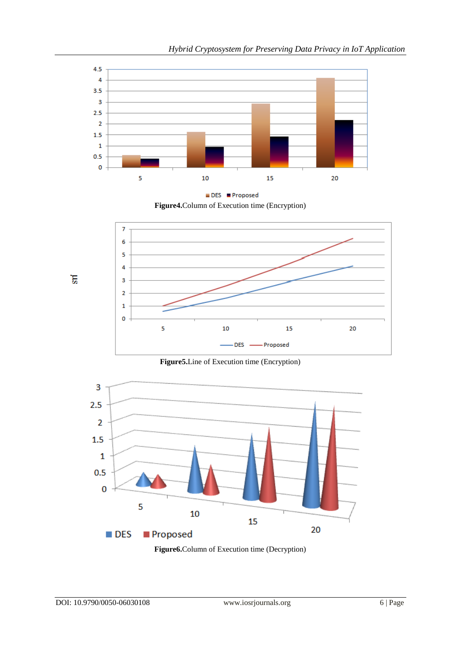







**Figure5.**Line of Execution time (Encryption)



**Figure6.**Column of Execution time (Decryption)

 $\mathbf{E}$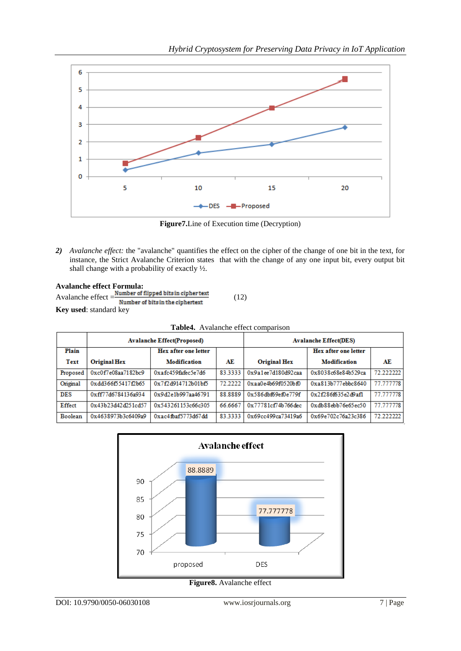

**Figure7.**Line of Execution time (Decryption)

*2) Avalanche effect:* the "avalanche" quantifies the effect on the cipher of the change of one bit in the text, for instance, the Strict Avalanche Criterion states that with the change of any one input bit, every output bit shall change with a probability of exactly ½.

**Avalanche effect Formula:** Avalanche effect  $=\frac{\text{Number of flipped bits in cipher text}}{\text{Number of bits in the ciphertext}}$  (12) **Key used**: standard key

|  | Table4. Avalanche effect comparison |
|--|-------------------------------------|
|  |                                     |

|               |                    | <b>Avalanche Effect(Proposed)</b> |         | <b>Avalanche Effect(DES)</b> |                      |           |  |
|---------------|--------------------|-----------------------------------|---------|------------------------------|----------------------|-----------|--|
| Plain         |                    | Hex after one letter              |         |                              | Hex after one letter |           |  |
| Text          | Original Hex       | <b>Modification</b>               | AE      | <b>Original Hex</b>          | <b>Modification</b>  | AE        |  |
| Proposed      | 0xc0f7e08aa7182bc9 | 0xafc459fafec5e7d6                | 83.3333 | 0x9a1ee7d180d92ca            | 0x8038c68e84b529ca   | 72.222222 |  |
| Original      | 0xdd366f55417f2b65 | 0x7f2d914712b01bf5                | 72.2222 | 0xaa0e4b69f0520bf0           | 0xa813b777ebbc8640   | 77.777778 |  |
| <b>DES</b>    | 0xff77d6784136a934 | 0x9d2e1b997aa46791                | 88.8889 | 0x586dbf69ef0e779f           | 0x2f286f635e2d9af1   | 77.777778 |  |
| <b>Effect</b> | 0x43b23d42d251cd57 | 0x543261153c66c305                | 66.6667 | 0x77781cf74b766dec           | 0xdb88ebb76e65ec50   | 77.777778 |  |
| Boolean       | 0x4638973b3c6409a9 | 0xac4fbaf5773d67dd                | 833333  | 0x69cc499ca73419a6           | 0x69e702c76a23c386   | 72.222222 |  |